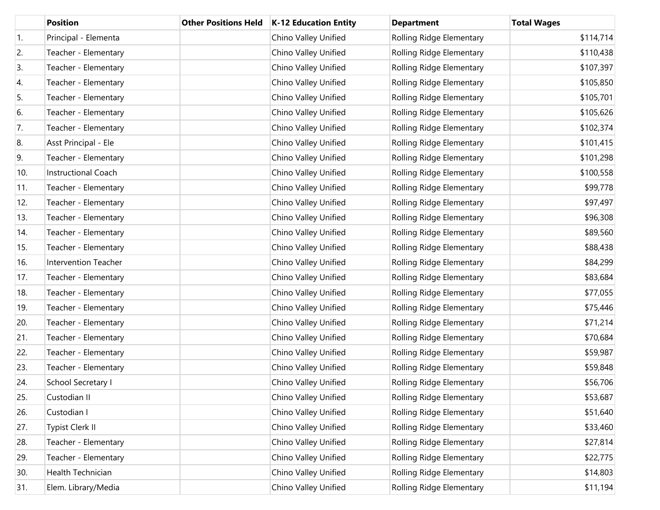|     | <b>Position</b>            | <b>Other Positions Held</b> | K-12 Education Entity | <b>Department</b>        | <b>Total Wages</b> |
|-----|----------------------------|-----------------------------|-----------------------|--------------------------|--------------------|
| 1.  | Principal - Elementa       |                             | Chino Valley Unified  | Rolling Ridge Elementary | \$114,714          |
| 2.  | Teacher - Elementary       |                             | Chino Valley Unified  | Rolling Ridge Elementary | \$110,438          |
| 3.  | Teacher - Elementary       |                             | Chino Valley Unified  | Rolling Ridge Elementary | \$107,397          |
| 4.  | Teacher - Elementary       |                             | Chino Valley Unified  | Rolling Ridge Elementary | \$105,850          |
| 5.  | Teacher - Elementary       |                             | Chino Valley Unified  | Rolling Ridge Elementary | \$105,701          |
| 6.  | Teacher - Elementary       |                             | Chino Valley Unified  | Rolling Ridge Elementary | \$105,626          |
| 7.  | Teacher - Elementary       |                             | Chino Valley Unified  | Rolling Ridge Elementary | \$102,374          |
| 8.  | Asst Principal - Ele       |                             | Chino Valley Unified  | Rolling Ridge Elementary | \$101,415          |
| 9.  | Teacher - Elementary       |                             | Chino Valley Unified  | Rolling Ridge Elementary | \$101,298          |
| 10. | <b>Instructional Coach</b> |                             | Chino Valley Unified  | Rolling Ridge Elementary | \$100,558          |
| 11. | Teacher - Elementary       |                             | Chino Valley Unified  | Rolling Ridge Elementary | \$99,778           |
| 12. | Teacher - Elementary       |                             | Chino Valley Unified  | Rolling Ridge Elementary | \$97,497           |
| 13. | Teacher - Elementary       |                             | Chino Valley Unified  | Rolling Ridge Elementary | \$96,308           |
| 14. | Teacher - Elementary       |                             | Chino Valley Unified  | Rolling Ridge Elementary | \$89,560           |
| 15. | Teacher - Elementary       |                             | Chino Valley Unified  | Rolling Ridge Elementary | \$88,438           |
| 16. | Intervention Teacher       |                             | Chino Valley Unified  | Rolling Ridge Elementary | \$84,299           |
| 17. | Teacher - Elementary       |                             | Chino Valley Unified  | Rolling Ridge Elementary | \$83,684           |
| 18. | Teacher - Elementary       |                             | Chino Valley Unified  | Rolling Ridge Elementary | \$77,055           |
| 19. | Teacher - Elementary       |                             | Chino Valley Unified  | Rolling Ridge Elementary | \$75,446           |
| 20. | Teacher - Elementary       |                             | Chino Valley Unified  | Rolling Ridge Elementary | \$71,214           |
| 21. | Teacher - Elementary       |                             | Chino Valley Unified  | Rolling Ridge Elementary | \$70,684           |
| 22. | Teacher - Elementary       |                             | Chino Valley Unified  | Rolling Ridge Elementary | \$59,987           |
| 23. | Teacher - Elementary       |                             | Chino Valley Unified  | Rolling Ridge Elementary | \$59,848           |
| 24. | School Secretary I         |                             | Chino Valley Unified  | Rolling Ridge Elementary | \$56,706           |
| 25. | Custodian II               |                             | Chino Valley Unified  | Rolling Ridge Elementary | \$53,687           |
| 26. | Custodian I                |                             | Chino Valley Unified  | Rolling Ridge Elementary | \$51,640           |
| 27. | <b>Typist Clerk II</b>     |                             | Chino Valley Unified  | Rolling Ridge Elementary | \$33,460           |
| 28. | Teacher - Elementary       |                             | Chino Valley Unified  | Rolling Ridge Elementary | \$27,814           |
| 29. | Teacher - Elementary       |                             | Chino Valley Unified  | Rolling Ridge Elementary | \$22,775           |
| 30. | Health Technician          |                             | Chino Valley Unified  | Rolling Ridge Elementary | \$14,803           |
| 31. | Elem. Library/Media        |                             | Chino Valley Unified  | Rolling Ridge Elementary | \$11,194           |